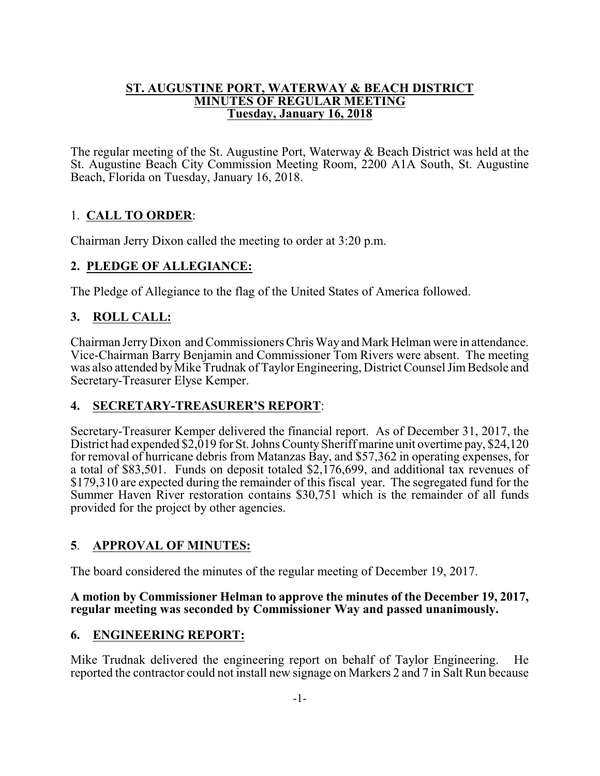#### **ST. AUGUSTINE PORT, WATERWAY & BEACH DISTRICT MINUTES OF REGULAR MEETING Tuesday, January 16, 2018**

The regular meeting of the St. Augustine Port, Waterway & Beach District was held at the St. Augustine Beach City Commission Meeting Room, 2200 A1A South, St. Augustine Beach, Florida on Tuesday, January 16, 2018.

# 1. **CALL TO ORDER**:

Chairman Jerry Dixon called the meeting to order at 3:20 p.m.

# **2. PLEDGE OF ALLEGIANCE:**

The Pledge of Allegiance to the flag of the United States of America followed.

# **3. ROLL CALL:**

Chairman JerryDixon and Commissioners Chris Way and Mark Helman were in attendance. Vice-Chairman Barry Benjamin and Commissioner Tom Rivers were absent. The meeting was also attended by Mike Trudnak of Taylor Engineering, District Counsel Jim Bedsole and Secretary-Treasurer Elyse Kemper.

# **4. SECRETARY-TREASURER'S REPORT**:

Secretary-Treasurer Kemper delivered the financial report. As of December 31, 2017, the District had expended \$2,019 for St. Johns County Sheriff marine unit overtime pay, \$24,120 for removal of hurricane debris from Matanzas Bay, and \$57,362 in operating expenses, for a total of \$83,501. Funds on deposit totaled \$2,176,699, and additional tax revenues of \$179,310 are expected during the remainder of this fiscal year. The segregated fund for the Summer Haven River restoration contains \$30,751 which is the remainder of all funds provided for the project by other agencies.

# **5**. **APPROVAL OF MINUTES:**

The board considered the minutes of the regular meeting of December 19, 2017.

#### **A motion by Commissioner Helman to approve the minutes of the December 19, 2017, regular meeting was seconded by Commissioner Way and passed unanimously.**

# **6. ENGINEERING REPORT:**

Mike Trudnak delivered the engineering report on behalf of Taylor Engineering. He reported the contractor could not install new signage on Markers 2 and 7 in Salt Run because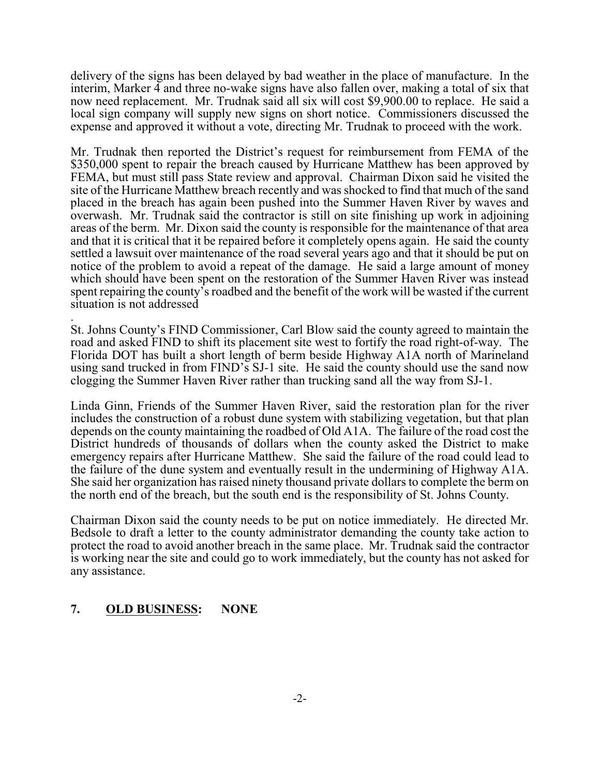delivery of the signs has been delayed by bad weather in the place of manufacture. In the interim, Marker 4 and three no-wake signs have also fallen over, making a total of six that now need replacement. Mr. Trudnak said all six will cost \$9,900.00 to replace. He said a local sign company will supply new signs on short notice. Commissioners discussed the expense and approved it without a vote, directing Mr. Trudnak to proceed with the work.

Mr. Trudnak then reported the District's request for reimbursement from FEMA of the \$350,000 spent to repair the breach caused by Hurricane Matthew has been approved by FEMA, but must still pass State review and approval. Chairman Dixon said he visited the site of the Hurricane Matthew breach recently and was shocked to find that much of the sand placed in the breach has again been pushed into the Summer Haven River by waves and overwash. Mr. Trudnak said the contractor is still on site finishing up work in adjoining areas of the berm. Mr. Dixon said the county is responsible for the maintenance of that area and that it is critical that it be repaired before it completely opens again. He said the county settled a lawsuit over maintenance of the road several years ago and that it should be put on notice of the problem to avoid a repeat of the damage. He said a large amount of money which should have been spent on the restoration of the Summer Haven River was instead spent repairing the county's roadbed and the benefit of the work will be wasted if the current situation is not addressed

. St. Johns County's FIND Commissioner, Carl Blow said the county agreed to maintain the road and asked FIND to shift its placement site west to fortify the road right-of-way. The Florida DOT has built a short length of berm beside Highway A1A north of Marineland using sand trucked in from FIND's SJ-1 site. He said the county should use the sand now clogging the Summer Haven River rather than trucking sand all the way from SJ-1.

Linda Ginn, Friends of the Summer Haven River, said the restoration plan for the river includes the construction of a robust dune system with stabilizing vegetation, but that plan depends on the county maintaining the roadbed of Old A1A. The failure of the road cost the District hundreds of thousands of dollars when the county asked the District to make emergency repairs after Hurricane Matthew. She said the failure of the road could lead to the failure of the dune system and eventually result in the undermining of Highway A1A. She said her organization has raised ninety thousand private dollars to complete the berm on the north end of the breach, but the south end is the responsibility of St. Johns County.

Chairman Dixon said the county needs to be put on notice immediately. He directed Mr. Bedsole to draft a letter to the county administrator demanding the county take action to protect the road to avoid another breach in the same place. Mr. Trudnak said the contractor is working near the site and could go to work immediately, but the county has not asked for any assistance.

# **7. OLD BUSINESS: NONE**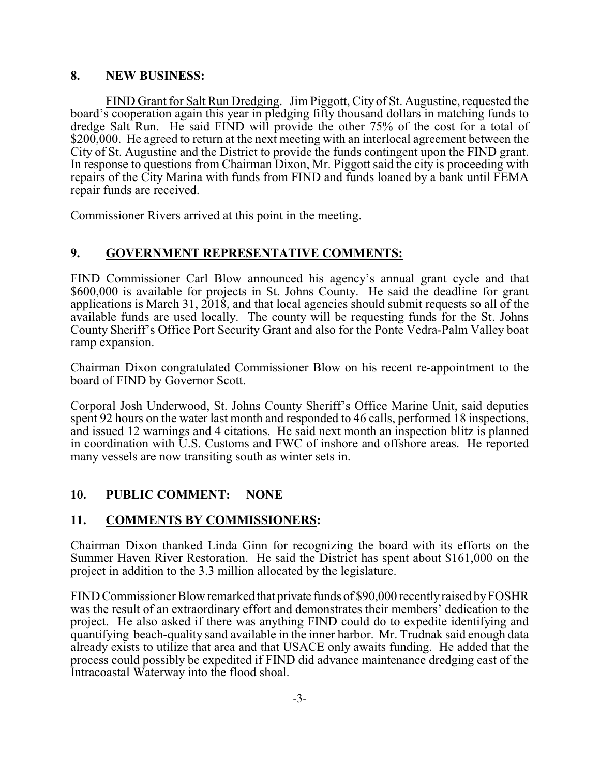#### **8. NEW BUSINESS:**

FIND Grant for Salt Run Dredging. Jim Piggott, City of St. Augustine, requested the board's cooperation again this year in pledging fifty thousand dollars in matching funds to dredge Salt Run. He said FIND will provide the other 75% of the cost for a total of \$200,000. He agreed to return at the next meeting with an interlocal agreement between the City of St. Augustine and the District to provide the funds contingent upon the FIND grant. In response to questions from Chairman Dixon, Mr. Piggott said the city is proceeding with repairs of the City Marina with funds from FIND and funds loaned by a bank until FEMA repair funds are received.

Commissioner Rivers arrived at this point in the meeting.

#### **9. GOVERNMENT REPRESENTATIVE COMMENTS:**

FIND Commissioner Carl Blow announced his agency's annual grant cycle and that \$600,000 is available for projects in St. Johns County. He said the deadline for grant applications is March 31, 2018, and that local agencies should submit requests so all of the available funds are used locally. The county will be requesting funds for the St. Johns County Sheriff's Office Port Security Grant and also for the Ponte Vedra-Palm Valley boat ramp expansion.

Chairman Dixon congratulated Commissioner Blow on his recent re-appointment to the board of FIND by Governor Scott.

Corporal Josh Underwood, St. Johns County Sheriff's Office Marine Unit, said deputies spent 92 hours on the water last month and responded to 46 calls, performed 18 inspections, and issued 12 warnings and 4 citations. He said next month an inspection blitz is planned in coordination with U.S. Customs and FWC of inshore and offshore areas. He reported many vessels are now transiting south as winter sets in.

# **10. PUBLIC COMMENT: NONE**

# **11. COMMENTS BY COMMISSIONERS:**

Chairman Dixon thanked Linda Ginn for recognizing the board with its efforts on the Summer Haven River Restoration. He said the District has spent about \$161,000 on the project in addition to the 3.3 million allocated by the legislature.

FIND Commissioner Blow remarked that private funds of \$90,000 recentlyraised byFOSHR was the result of an extraordinary effort and demonstrates their members' dedication to the project. He also asked if there was anything FIND could do to expedite identifying and quantifying beach-quality sand available in the inner harbor. Mr. Trudnak said enough data already exists to utilize that area and that USACE only awaits funding. He added that the process could possibly be expedited if FIND did advance maintenance dredging east of the Intracoastal Waterway into the flood shoal.